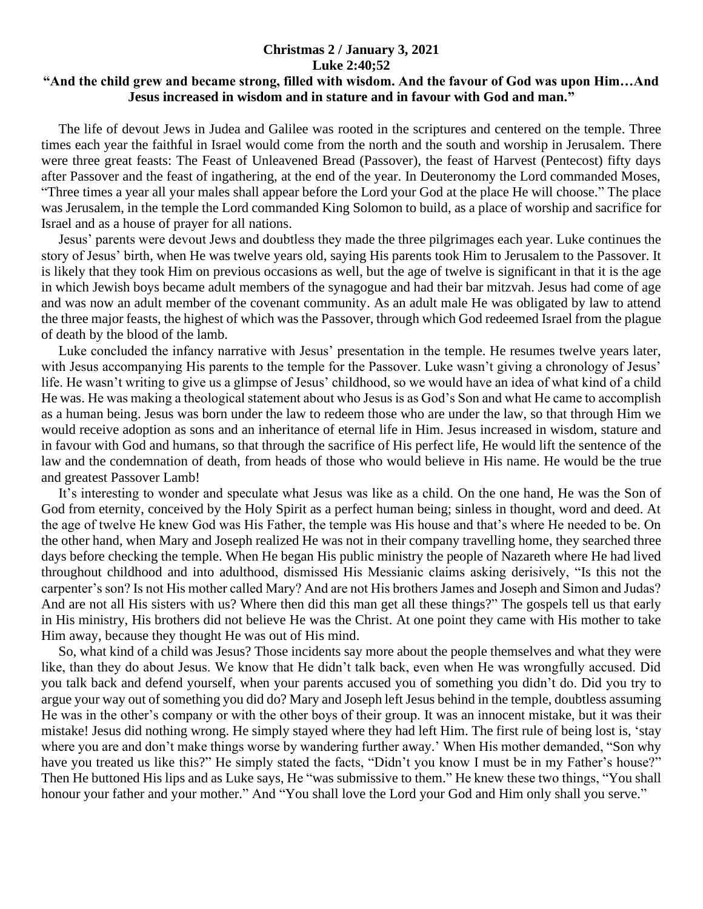## **Christmas 2 / January 3, 2021 Luke 2:40;52**

## **"And the child grew and became strong, filled with wisdom. And the favour of God was upon Him…And Jesus increased in wisdom and in stature and in favour with God and man."**

 The life of devout Jews in Judea and Galilee was rooted in the scriptures and centered on the temple. Three times each year the faithful in Israel would come from the north and the south and worship in Jerusalem. There were three great feasts: The Feast of Unleavened Bread (Passover), the feast of Harvest (Pentecost) fifty days after Passover and the feast of ingathering, at the end of the year. In Deuteronomy the Lord commanded Moses, "Three times a year all your males shall appear before the Lord your God at the place He will choose." The place was Jerusalem, in the temple the Lord commanded King Solomon to build, as a place of worship and sacrifice for Israel and as a house of prayer for all nations.

 Jesus' parents were devout Jews and doubtless they made the three pilgrimages each year. Luke continues the story of Jesus' birth, when He was twelve years old, saying His parents took Him to Jerusalem to the Passover. It is likely that they took Him on previous occasions as well, but the age of twelve is significant in that it is the age in which Jewish boys became adult members of the synagogue and had their bar mitzvah. Jesus had come of age and was now an adult member of the covenant community. As an adult male He was obligated by law to attend the three major feasts, the highest of which was the Passover, through which God redeemed Israel from the plague of death by the blood of the lamb.

 Luke concluded the infancy narrative with Jesus' presentation in the temple. He resumes twelve years later, with Jesus accompanying His parents to the temple for the Passover. Luke wasn't giving a chronology of Jesus' life. He wasn't writing to give us a glimpse of Jesus' childhood, so we would have an idea of what kind of a child He was. He was making a theological statement about who Jesus is as God's Son and what He came to accomplish as a human being. Jesus was born under the law to redeem those who are under the law, so that through Him we would receive adoption as sons and an inheritance of eternal life in Him. Jesus increased in wisdom, stature and in favour with God and humans, so that through the sacrifice of His perfect life, He would lift the sentence of the law and the condemnation of death, from heads of those who would believe in His name. He would be the true and greatest Passover Lamb!

 It's interesting to wonder and speculate what Jesus was like as a child. On the one hand, He was the Son of God from eternity, conceived by the Holy Spirit as a perfect human being; sinless in thought, word and deed. At the age of twelve He knew God was His Father, the temple was His house and that's where He needed to be. On the other hand, when Mary and Joseph realized He was not in their company travelling home, they searched three days before checking the temple. When He began His public ministry the people of Nazareth where He had lived throughout childhood and into adulthood, dismissed His Messianic claims asking derisively, "Is this not the carpenter's son? Is not His mother called Mary? And are not His brothers James and Joseph and Simon and Judas? And are not all His sisters with us? Where then did this man get all these things?" The gospels tell us that early in His ministry, His brothers did not believe He was the Christ. At one point they came with His mother to take Him away, because they thought He was out of His mind.

 So, what kind of a child was Jesus? Those incidents say more about the people themselves and what they were like, than they do about Jesus. We know that He didn't talk back, even when He was wrongfully accused. Did you talk back and defend yourself, when your parents accused you of something you didn't do. Did you try to argue your way out of something you did do? Mary and Joseph left Jesus behind in the temple, doubtless assuming He was in the other's company or with the other boys of their group. It was an innocent mistake, but it was their mistake! Jesus did nothing wrong. He simply stayed where they had left Him. The first rule of being lost is, 'stay where you are and don't make things worse by wandering further away.' When His mother demanded, "Son why have you treated us like this?" He simply stated the facts, "Didn't you know I must be in my Father's house?" Then He buttoned His lips and as Luke says, He "was submissive to them." He knew these two things, "You shall honour your father and your mother." And "You shall love the Lord your God and Him only shall you serve."